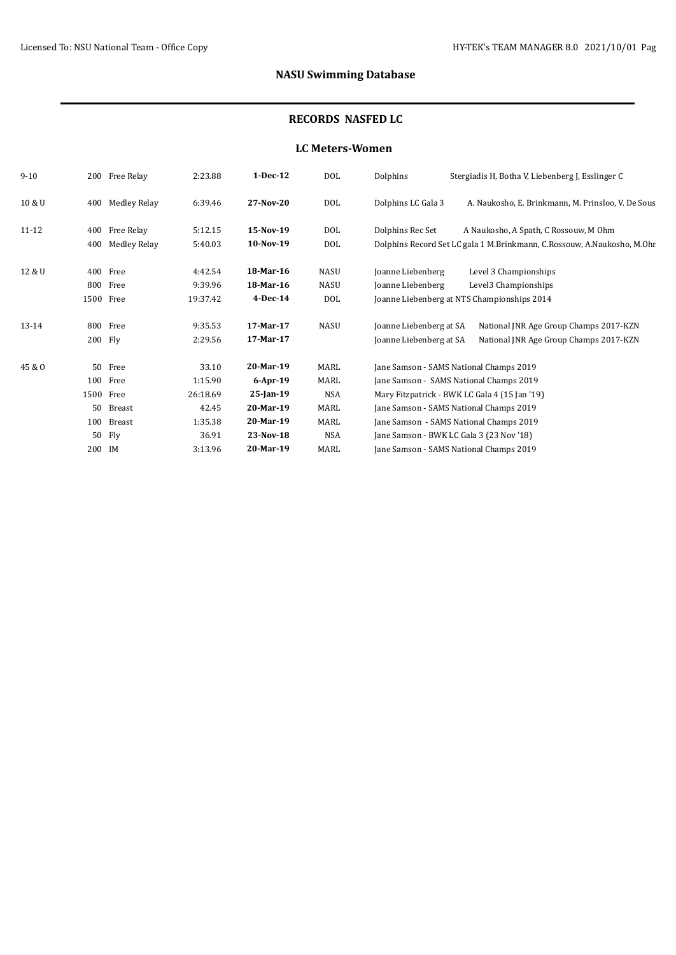# **NASU Swimming Database**

## **RECORDS NASFED LC**

#### **LC Meters-Women**

| $9 - 10$  | 200    | Free Relay          | 2:23.88  | 1-Dec-12     | DOL         | Dolphins                                 | Stergiadis H, Botha V, Liebenberg J, Esslinger C                        |
|-----------|--------|---------------------|----------|--------------|-------------|------------------------------------------|-------------------------------------------------------------------------|
| 10 & U    | 400    | <b>Medley Relay</b> | 6:39.46  | 27-Nov-20    | DOL         | Dolphins LC Gala 3                       | A. Naukosho, E. Brinkmann, M. Prinsloo, V. De Sous                      |
| $11 - 12$ | 400    | Free Relay          | 5:12.15  | 15-Nov-19    | <b>DOL</b>  | Dolphins Rec Set                         | A Naukosho, A Spath, C Rossouw, M Ohm                                   |
|           | 400    | Medley Relay        | 5:40.03  | 10-Nov-19    | DOL         |                                          | Dolphins Record Set LC gala 1 M.Brinkmann, C.Rossouw, A.Naukosho, M.Ohr |
| 12 & U    | 400    | Free                | 4:42.54  | 18-Mar-16    | <b>NASU</b> | Joanne Liebenberg                        | Level 3 Championships                                                   |
|           | 800    | Free                | 9:39.96  | 18-Mar-16    | <b>NASU</b> | Joanne Liebenberg                        | Level3 Championships                                                    |
|           | 1500   | Free                | 19:37.42 | $4$ -Dec-14  | DOL         |                                          | Joanne Liebenberg at NTS Championships 2014                             |
| 13-14     |        | 800 Free            | 9:35.53  | 17-Mar-17    | <b>NASU</b> | Joanne Liebenberg at SA                  | National JNR Age Group Champs 2017-KZN                                  |
|           |        | 200 Fly             | 2:29.56  | 17-Mar-17    |             | Joanne Liebenberg at SA                  | National JNR Age Group Champs 2017-KZN                                  |
| 45 & O    | 50     | Free                | 33.10    | 20-Mar-19    | MARL        | Jane Samson - SAMS National Champs 2019  |                                                                         |
|           | 100    | Free                | 1:15.90  | $6$ -Apr-19  | MARL        | Jane Samson - SAMS National Champs 2019  |                                                                         |
|           | 1500   | Free                | 26:18.69 | $25$ -Jan-19 | NSA         |                                          | Mary Fitzpatrick - BWK LC Gala 4 (15 Jan '19)                           |
|           | 50     | Breast              | 42.45    | 20-Mar-19    | MARL        | Jane Samson - SAMS National Champs 2019  |                                                                         |
|           | 100    | Breast              | 1:35.38  | 20-Mar-19    | MARL        | Jane Samson - SAMS National Champs 2019  |                                                                         |
|           | 50     | Fly                 | 36.91    | 23-Nov-18    | NSA         | Jane Samson - BWK LC Gala 3 (23 Nov '18) |                                                                         |
|           | 200 IM |                     | 3:13.96  | 20-Mar-19    | MARL        | Jane Samson - SAMS National Champs 2019  |                                                                         |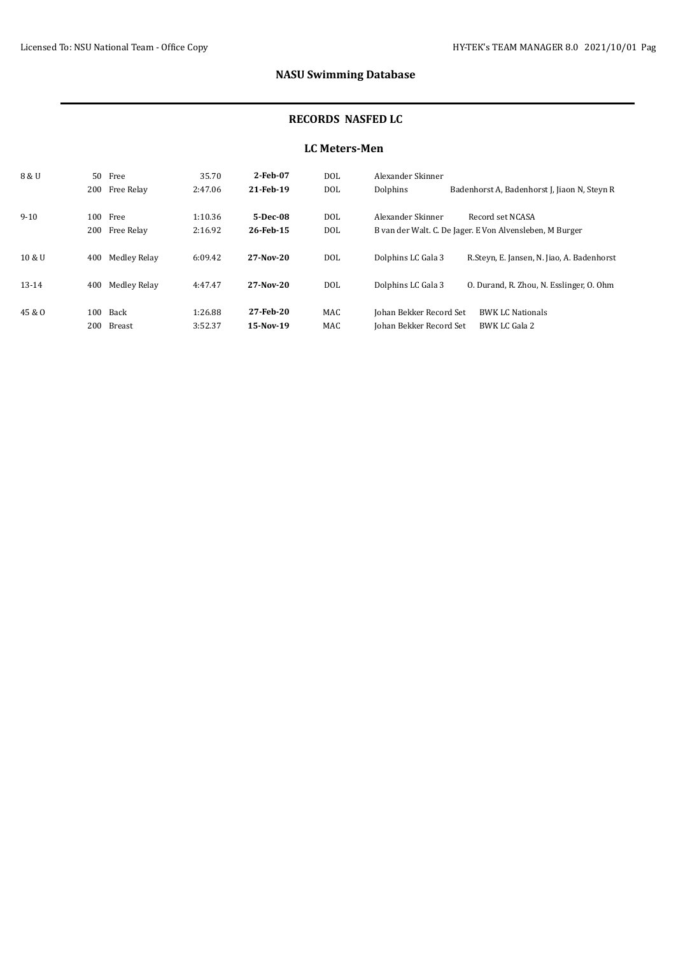# **NASU Swimming Database**

#### **RECORDS NASFED LC**

### **LC Meters-Men**

| 8 & U   | 50   | Free           | 35.70   | 2-Feb-07    | <b>DOL</b> | Alexander Skinner       |                                                          |
|---------|------|----------------|---------|-------------|------------|-------------------------|----------------------------------------------------------|
|         |      | 200 Free Relay | 2:47.06 | 21-Feb-19   | <b>DOL</b> | Dolphins                | Badenhorst A, Badenhorst J, Jiaon N, Steyn R             |
|         |      |                |         |             |            |                         |                                                          |
| $9-10$  | 100- | Free           | 1:10.36 | 5-Dec-08    | DOL.       | Alexander Skinner       | Record set NCASA                                         |
|         | 200  | Free Relay     | 2:16.92 | 26-Feb-15   | <b>DOL</b> |                         | B van der Walt. C. De Jager. E Von Alvensleben, M Burger |
|         |      |                |         |             |            |                         |                                                          |
| 10 & U  | 400  | Medley Relay   | 6:09.42 | $27-Nov-20$ | DOL.       | Dolphins LC Gala 3      | R.Steyn, E. Jansen, N. Jiao, A. Badenhorst               |
|         |      |                |         |             |            |                         |                                                          |
| $13-14$ | 400  | Medley Relay   | 4:47.47 | $27-Nov-20$ | <b>DOL</b> | Dolphins LC Gala 3      | 0. Durand, R. Zhou, N. Esslinger, O. Ohm                 |
|         |      |                |         |             |            |                         |                                                          |
| 45 & O  | 100  | Back           | 1:26.88 | 27-Feb-20   | MAC        | Johan Bekker Record Set | <b>BWK LC Nationals</b>                                  |
|         | 200  | Breast         | 3:52.37 | 15-Nov-19   | <b>MAC</b> | Johan Bekker Record Set | BWK LC Gala 2                                            |